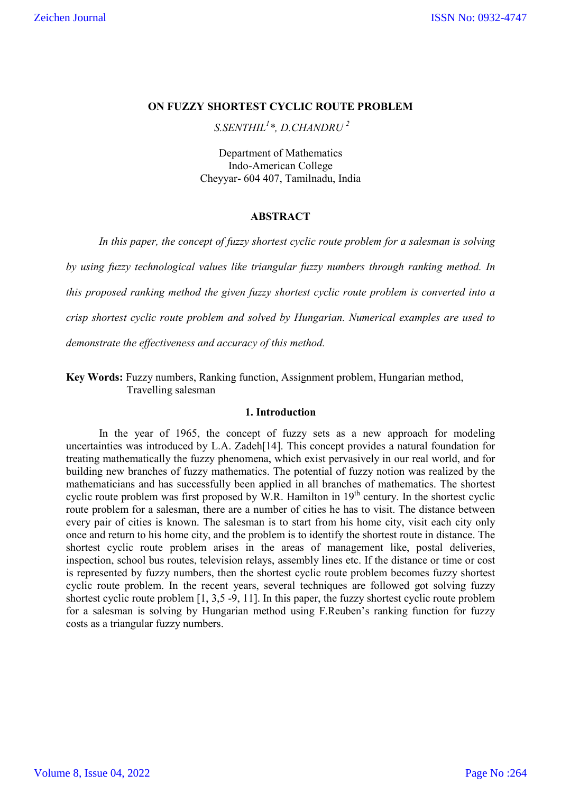# **ON FUZZY SHORTEST CYCLIC ROUTE PROBLEM**

*S.SENTHIL1 \*, D.CHANDRU <sup>2</sup>*

Department of Mathematics Indo-American College Cheyyar- 604 407, Tamilnadu, India

## **ABSTRACT**

*In this paper, the concept of fuzzy shortest cyclic route problem for a salesman is solving* 

*by using fuzzy technological values like triangular fuzzy numbers through ranking method. In this proposed ranking method the given fuzzy shortest cyclic route problem is converted into a crisp shortest cyclic route problem and solved by Hungarian. Numerical examples are used to demonstrate the effectiveness and accuracy of this method.*

**Key Words:** Fuzzy numbers, Ranking function, Assignment problem, Hungarian method, Travelling salesman

## **1. Introduction**

In the year of 1965, the concept of fuzzy sets as a new approach for modeling uncertainties was introduced by L.A. Zadeh[14]. This concept provides a natural foundation for treating mathematically the fuzzy phenomena, which exist pervasively in our real world, and for building new branches of fuzzy mathematics. The potential of fuzzy notion was realized by the mathematicians and has successfully been applied in all branches of mathematics. The shortest cyclic route problem was first proposed by W.R. Hamilton in  $19<sup>th</sup>$  century. In the shortest cyclic route problem for a salesman, there are a number of cities he has to visit. The distance between every pair of cities is known. The salesman is to start from his home city, visit each city only once and return to his home city, and the problem is to identify the shortest route in distance. The shortest cyclic route problem arises in the areas of management like, postal deliveries, inspection, school bus routes, television relays, assembly lines etc. If the distance or time or cost is represented by fuzzy numbers, then the shortest cyclic route problem becomes fuzzy shortest cyclic route problem. In the recent years, several techniques are followed got solving fuzzy shortest cyclic route problem [1, 3,5 -9, 11]. In this paper, the fuzzy shortest cyclic route problem for a salesman is solving by Hungarian method using F.Reuben's ranking function for fuzzy costs as a triangular fuzzy numbers.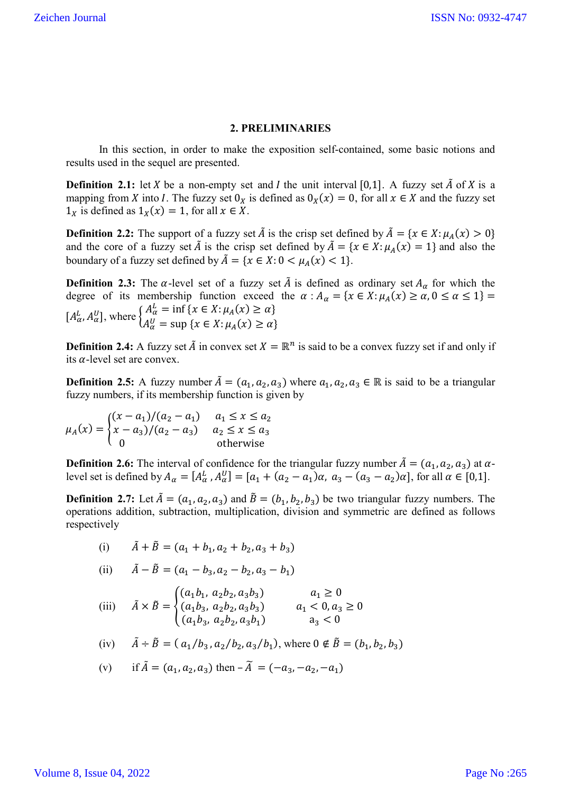### **2. PRELIMINARIES**

In this section, in order to make the exposition self-contained, some basic notions and results used in the sequel are presented.

**Definition 2.1:** let X be a non-empty set and I the unit interval [0,1]. A fuzzy set  $\tilde{A}$  of X is a mapping from X into I. The fuzzy set  $0_X$  is defined as  $0_X(x) = 0$ , for all  $x \in X$  and the fuzzy set  $1_X$  is defined as  $1_X(x) = 1$ , for all  $x \in X$ .

**Definition 2.2:** The support of a fuzzy set  $\tilde{A}$  is the crisp set defined by  $\tilde{A} = \{x \in X : \mu_A(x) > 0\}$ and the core of a fuzzy set  $\tilde{A}$  is the crisp set defined by  $\tilde{A} = \{x \in X : \mu_A(x) = 1\}$  and also the boundary of a fuzzy set defined by  $\tilde{A} = \{x \in X : 0 < \mu_A(x) < 1\}.$ 

**Definition 2.3:** The  $\alpha$ -level set of a fuzzy set  $\tilde{A}$  is defined as ordinary set  $A_{\alpha}$  for which the degree of its membership function exceed the  $\alpha : A_{\alpha} = \{x \in X : \mu_A(x) \ge \alpha, 0 \le \alpha \le 1\}$  $[A_{\alpha}^{L}, A_{\alpha}^{U}],$  where  $\begin{cases} A_{\alpha}^{L} = \inf \{x \in X : \mu_{A}(x) \ge \alpha \} \\ A_{\alpha}^{U} = \sup \{x \in X : \mu_{\alpha}(x) > \alpha \} \end{cases}$  $A_{\alpha}^{U} = \sup \{ x \in X : \mu_A(x) \ge \alpha \}$ 

**Definition 2.4:** A fuzzy set  $\tilde{A}$  in convex set  $X = \mathbb{R}^n$  is said to be a convex fuzzy set if and only if its  $\alpha$ -level set are convex.

**Definition 2.5:** A fuzzy number  $\tilde{A} = (a_1, a_2, a_3)$  where  $a_1, a_2, a_3 \in \mathbb{R}$  is said to be a triangular fuzzy numbers, if its membership function is given by

$$
\mu_A(x) = \begin{cases} (x - a_1)/(a_2 - a_1) & a_1 \le x \le a_2 \\ x - a_3)/(a_2 - a_3) & a_2 \le x \le a_3 \\ 0 & \text{otherwise} \end{cases}
$$

**Definition 2.6:** The interval of confidence for the triangular fuzzy number  $\tilde{A} = (a_1, a_2, a_3)$  at  $\alpha$ level set is defined by  $A_{\alpha} = [A_{\alpha}^L, A_{\alpha}^U] = [a_1 + (a_2 - a_1)\alpha, a_3 - (a_3 - a_2)\alpha]$ , for all  $\alpha \in [0,1]$ .

**Definition 2.7:** Let  $\tilde{A} = (a_1, a_2, a_3)$  and  $\tilde{B} = (b_1, b_2, b_3)$  be two triangular fuzzy numbers. The operations addition, subtraction, multiplication, division and symmetric are defined as follows respectively

(i) 
$$
\tilde{A} + \tilde{B} = (a_1 + b_1, a_2 + b_2, a_3 + b_3)
$$

(ii) 
$$
\tilde{A} - \tilde{B} = (a_1 - b_3, a_2 - b_2, a_3 - b_1)
$$

(iii) 
$$
\tilde{A} \times \tilde{B} = \begin{cases} (a_1b_1, a_2b_2, a_3b_3) & a_1 \ge 0 \\ (a_1b_3, a_2b_2, a_3b_3) & a_1 < 0, a_3 \ge 0 \\ (a_1b_3, a_2b_2, a_3b_1) & a_3 < 0 \end{cases}
$$

(iv) 
$$
\tilde{A} \div \tilde{B} = (a_1/b_3, a_2/b_2, a_3/b_1)
$$
, where  $0 \notin \tilde{B} = (b_1, b_2, b_3)$ 

(v) if 
$$
\tilde{A} = (a_1, a_2, a_3)
$$
 then  $-\tilde{A} = (-a_3, -a_2, -a_1)$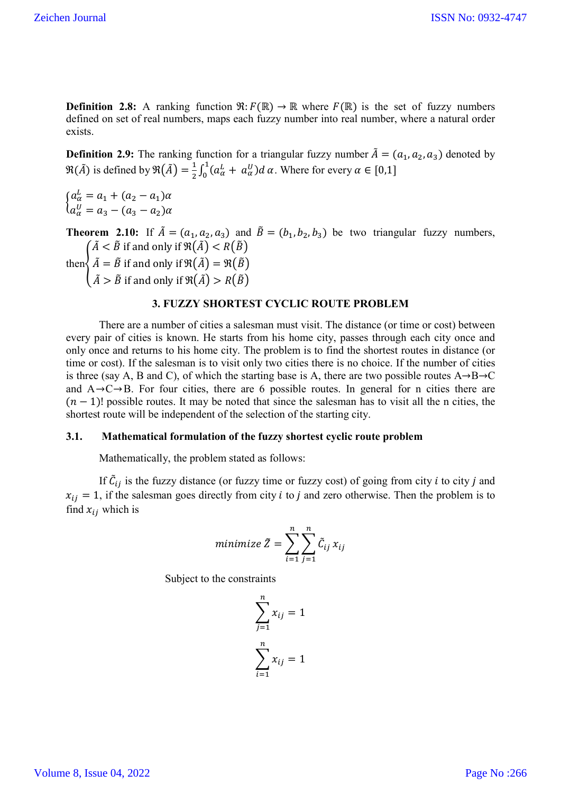**Definition 2.8:** A ranking function  $\mathfrak{R}: F(\mathbb{R}) \to \mathbb{R}$  where  $F(\mathbb{R})$  is the set of fuzzy numbers defined on set of real numbers, maps each fuzzy number into real number, where a natural order exists.

**Definition 2.9:** The ranking function for a triangular fuzzy number  $\tilde{A} = (a_1, a_2, a_3)$  denoted by  $\Re(\tilde{A})$  is defined by  $\Re(\tilde{A}) = \frac{1}{2} \int_0^1 (a_\alpha^L + a_\alpha^U) d\alpha$ . Where for every  $\alpha \in [0,1]$ 

 $a_{\alpha}^{L} = a_{1} + (a_{2} - a_{1})\alpha$  $a_{\alpha}^{U} = a_{3} - (a_{3} - a_{2})\alpha$ 

**Theorem 2.10:** If  $\tilde{A} = (a_1, a_2, a_3)$  and  $\tilde{B} = (b_1, b_2, b_3)$  be two triangular fuzzy numbers,  $\tilde{A} < \tilde{B}$  if and only if  $\Re(\tilde{A}) < R(\tilde{B})$ 

then<sup>2</sup>  $\tilde{A} = \tilde{B}$  if and only if  $\Re(\tilde{A}) = \Re(\tilde{B})$ 

 $\tilde{A} > \tilde{B}$  if and only if  $\Re(\tilde{A}) > R(\tilde{B})$ 

# **3. FUZZY SHORTEST CYCLIC ROUTE PROBLEM**

There are a number of cities a salesman must visit. The distance (or time or cost) between every pair of cities is known. He starts from his home city, passes through each city once and only once and returns to his home city. The problem is to find the shortest routes in distance (or time or cost). If the salesman is to visit only two cities there is no choice. If the number of cities is three (say A, B and C), of which the starting base is A, there are two possible routes  $A \rightarrow B \rightarrow C$ and  $A \rightarrow C \rightarrow B$ . For four cities, there are 6 possible routes. In general for n cities there are  $(n - 1)!$  possible routes. It may be noted that since the salesman has to visit all the n cities, the shortest route will be independent of the selection of the starting city.

#### **3.1. Mathematical formulation of the fuzzy shortest cyclic route problem**

Mathematically, the problem stated as follows:

If  $\tilde{C}_{ij}$  is the fuzzy distance (or fuzzy time or fuzzy cost) of going from city *i* to city *j* and  $x_{ij} = 1$ , if the salesman goes directly from city *i* to *j* and zero otherwise. Then the problem is to find  $x_{ij}$  which is

$$
minimize \ \tilde{Z} = \sum_{i=1}^{n} \sum_{j=1}^{n} \tilde{C}_{ij} \, x_{ij}
$$

Subject to the constraints

$$
\sum_{j=1}^{n} x_{ij} = 1
$$

$$
\sum_{i=1}^{n} x_{ij} = 1
$$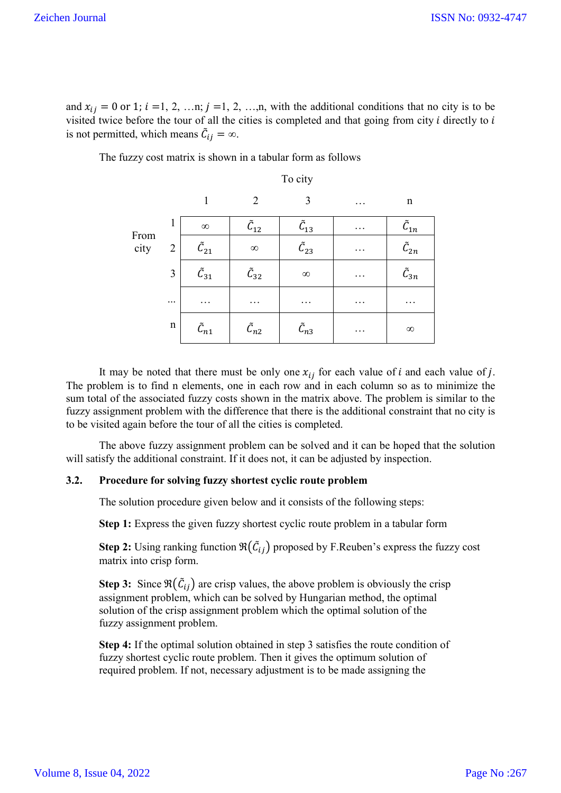and  $x_{ij} = 0$  or 1;  $i = 1, 2, ..., n$ ;  $j = 1, 2, ..., n$ , with the additional conditions that no city is to be visited twice before the tour of all the cities is completed and that going from city  $i$  directly to  $i$ is not permitted, which means  $\tilde{C}_{ij} = \infty$ .

|      |                |                            |                        | To city                    |          |                            |
|------|----------------|----------------------------|------------------------|----------------------------|----------|----------------------------|
|      |                | 1                          | $\overline{2}$         | 3                          | $\cdots$ | $\mathbf n$                |
| From | 1              | $\infty$                   | $\tilde {\cal C}_{12}$ | $\tilde {\cal C}_{13}$     | $\cdots$ | $\tilde{\mathcal{C}}_{1n}$ |
| city | $\overline{2}$ | $\tilde {\cal C}_{21}$     | $\infty$               | $\tilde {\cal C}_{23}$     | $\cdots$ | $\tilde{\mathcal{C}}_{2n}$ |
|      | 3              | $\tilde {\cal C}_{31}$     | $\tilde C_{32}$        | $\infty$                   | $\cdots$ | $\tilde{\mathcal{C}}_{3n}$ |
|      | $\cdots$       | .                          | .                      | $\cdots$                   | .        | $\cdots$                   |
|      | $\mathbf n$    | $\tilde{\mathcal{C}}_{n1}$ | $\tilde{\cal C}_{n2}$  | $\tilde{\mathcal{C}}_{n3}$ | .        | $\infty$                   |

The fuzzy cost matrix is shown in a tabular form as follows

It may be noted that there must be only one  $x_{ij}$  for each value of *i* and each value of *j*. The problem is to find n elements, one in each row and in each column so as to minimize the sum total of the associated fuzzy costs shown in the matrix above. The problem is similar to the fuzzy assignment problem with the difference that there is the additional constraint that no city is to be visited again before the tour of all the cities is completed.

The above fuzzy assignment problem can be solved and it can be hoped that the solution will satisfy the additional constraint. If it does not, it can be adjusted by inspection.

## **3.2. Procedure for solving fuzzy shortest cyclic route problem**

The solution procedure given below and it consists of the following steps:

**Step 1:** Express the given fuzzy shortest cyclic route problem in a tabular form

**Step 2:** Using ranking function  $\Re(\tilde{C}_{ij})$  proposed by F.Reuben's express the fuzzy cost matrix into crisp form.

**Step 3:** Since  $\Re(\tilde{C}_{ij})$  are crisp values, the above problem is obviously the crisp assignment problem, which can be solved by Hungarian method, the optimal solution of the crisp assignment problem which the optimal solution of the fuzzy assignment problem.

**Step 4:** If the optimal solution obtained in step 3 satisfies the route condition of fuzzy shortest cyclic route problem. Then it gives the optimum solution of required problem. If not, necessary adjustment is to be made assigning the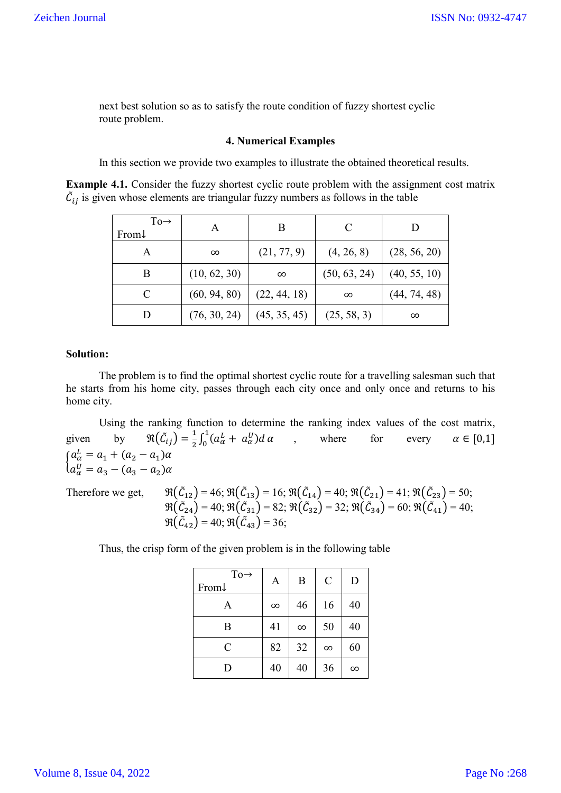next best solution so as to satisfy the route condition of fuzzy shortest cyclic route problem.

## **4. Numerical Examples**

In this section we provide two examples to illustrate the obtained theoretical results.

**Example 4.1.** Consider the fuzzy shortest cyclic route problem with the assignment cost matrix  $\tilde{C}_{ij}$  is given whose elements are triangular fuzzy numbers as follows in the table

| $To \rightarrow$<br>From $\downarrow$ | А            | В            |              |              |
|---------------------------------------|--------------|--------------|--------------|--------------|
| Α                                     | $\infty$     | (21, 77, 9)  | (4, 26, 8)   | (28, 56, 20) |
| B                                     | (10, 62, 30) | $\infty$     | (50, 63, 24) | (40, 55, 10) |
| C                                     | (60, 94, 80) | (22, 44, 18) | $\infty$     | (44, 74, 48) |
|                                       | (76, 30, 24) | (45, 35, 45) | (25, 58, 3)  | $\infty$     |

## **Solution:**

The problem is to find the optimal shortest cyclic route for a travelling salesman such that he starts from his home city, passes through each city once and only once and returns to his home city.

Using the ranking function to determine the ranking index values of the cost matrix, given by  $\Re(\tilde{C}_{ij}) = \frac{1}{2} \int_0^1 (a_\alpha^L + a_\alpha^U) d\alpha$ , where for every  $\alpha \in [0,1]$  $a_{\alpha}^{L} = a_{1} + (a_{2} - a_{1})\alpha$  $a_{\alpha}^{U} = a_3 - (a_3 - a_2)\alpha$ 

Therefore we get,

 $\mathfrak{R}(5_{12}) = 46; \, \mathfrak{R}(\tilde{C}_{13}) = 16; \, \mathfrak{R}(\tilde{C}_{14}) = 40; \, \mathfrak{R}(\tilde{C}_{21}) = 41; \, \mathfrak{R}(\tilde{C}_{23}) = 50;$  $\Re(\tilde{C}_{24}) = 40; \Re(\tilde{C}_{31}) = 82; \Re(\tilde{C}_{32}) = 32; \Re(\tilde{C}_{34}) = 60; \Re(\tilde{C}_{41}) = 40;$  $\Re(\tilde{\mathcal{C}}_{42}) = 40; \Re(\tilde{\mathcal{C}}_{43}) = 36;$ 

Thus, the crisp form of the given problem is in the following table

| $To \rightarrow$<br>From↓ | A        | B        | $\mathcal{C}$ | D        |
|---------------------------|----------|----------|---------------|----------|
| A                         | $\infty$ | 46       | 16            | 40       |
| B                         | 41       | $\infty$ | 50            | 40       |
| $\mathsf{C}$              | 82       | 32       | $\infty$      | 60       |
| D                         | 40       | 40       | 36            | $\infty$ |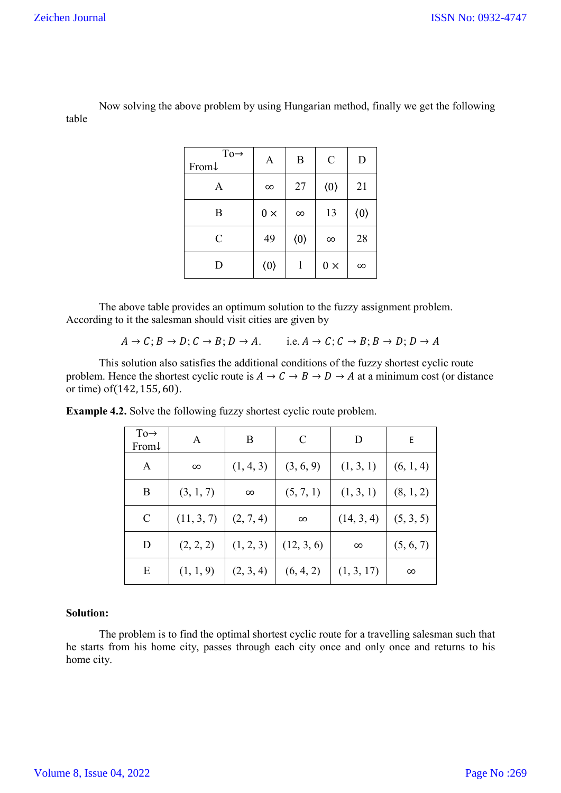Now solving the above problem by using Hungarian method, finally we get the following table

| $To \rightarrow$<br>From $\downarrow$ | A                   | B                   | $\mathcal{C}$       | D                   |
|---------------------------------------|---------------------|---------------------|---------------------|---------------------|
| A                                     | $\infty$            | 27                  | $\langle 0 \rangle$ | 21                  |
| B                                     | $0 \times$          | $\infty$            | 13                  | $\langle 0 \rangle$ |
| $\mathcal{C}$                         | 49                  | $\langle 0 \rangle$ | $\infty$            | 28                  |
| D                                     | $\langle 0 \rangle$ | 1                   | $0 \times$          | $\infty$            |

The above table provides an optimum solution to the fuzzy assignment problem. According to it the salesman should visit cities are given by

 $A \to C$ ;  $B \to D$ ;  $C \to B$ ;  $D \to A$ . i.e.  $A \to C$ ;  $C \to B$ ;  $B \to D$ ;  $D \to A$ 

This solution also satisfies the additional conditions of the fuzzy shortest cyclic route problem. Hence the shortest cyclic route is  $A \to C \to B \to D \to A$  at a minimum cost (or distance or time) of(142, 155, 60).

| $To \rightarrow$<br>From $\downarrow$ | A          | B         | C          | D          | E         |
|---------------------------------------|------------|-----------|------------|------------|-----------|
| A                                     | $\infty$   | (1, 4, 3) | (3, 6, 9)  | (1, 3, 1)  | (6, 1, 4) |
| B                                     | (3, 1, 7)  | $\infty$  | (5, 7, 1)  | (1, 3, 1)  | (8, 1, 2) |
| $\mathcal{C}$                         | (11, 3, 7) | (2, 7, 4) | $\infty$   | (14, 3, 4) | (5, 3, 5) |
| D                                     | (2, 2, 2)  | (1, 2, 3) | (12, 3, 6) | $\infty$   | (5, 6, 7) |
| Ε                                     | (1, 1, 9)  | (2, 3, 4) | (6, 4, 2)  | (1, 3, 17) | $\infty$  |

**Example 4.2.** Solve the following fuzzy shortest cyclic route problem.

## **Solution:**

The problem is to find the optimal shortest cyclic route for a travelling salesman such that he starts from his home city, passes through each city once and only once and returns to his home city.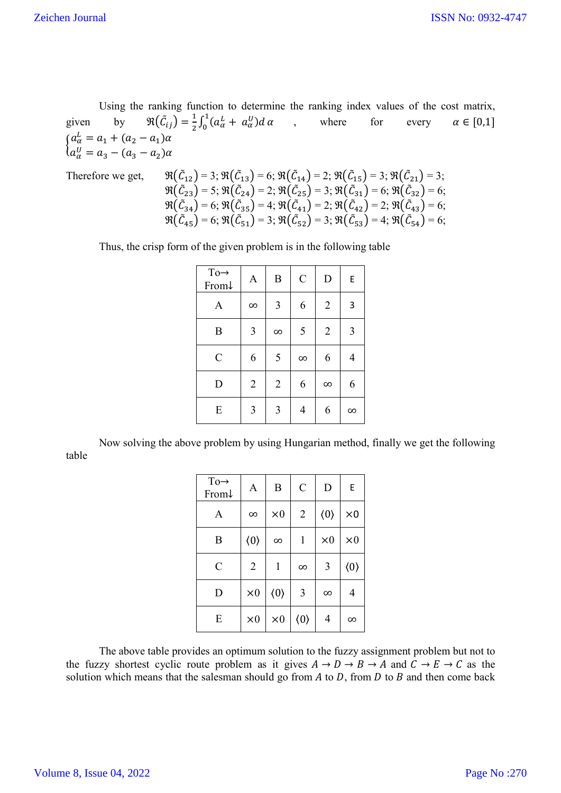Using the ranking function to determine the ranking index values of the cost matrix, given by  $\Re(\tilde{C}_{ij}) = \frac{1}{2} \int_0^1 (a_\alpha^L + a_\alpha^U) d\alpha$ , where for every  $\alpha \in [0,1]$  $a_{\alpha}^{L} = a_{1} + (a_{2} - a_{1})\alpha$  $a_{\alpha}^{U} = a_3 - (a_3 - a_2)\alpha$ 

Therefore we get, 
$$
\mathfrak{R}(\tilde{C}_{12}) = 3
$$
;  $\mathfrak{R}(\tilde{C}_{13}) = 6$ ;  $\mathfrak{R}(\tilde{C}_{14}) = 2$ ;  $\mathfrak{R}(\tilde{C}_{15}) = 3$ ;  $\mathfrak{R}(\tilde{C}_{21}) = 3$ ;  $\mathfrak{R}(\tilde{C}_{23}) = 5$ ;  $\mathfrak{R}(\tilde{C}_{24}) = 2$ ;  $\mathfrak{R}(\tilde{C}_{25}) = 3$ ;  $\mathfrak{R}(\tilde{C}_{31}) = 6$ ;  $\mathfrak{R}(\tilde{C}_{32}) = 6$ ;  $\mathfrak{R}(\tilde{C}_{34}) = 6$ ;  $\mathfrak{R}(\tilde{C}_{34}) = 6$ ;  $\mathfrak{R}(\tilde{C}_{35}) = 4$ ;  $\mathfrak{R}(\tilde{C}_{41}) = 2$ ;  $\mathfrak{R}(\tilde{C}_{42}) = 2$ ;  $\mathfrak{R}(\tilde{C}_{43}) = 6$ ;  $\mathfrak{R}(\tilde{C}_{45}) = 6$ ;  $\mathfrak{R}(\tilde{C}_{45}) = 6$ ;  $\mathfrak{R}(\tilde{C}_{51}) = 3$ ;  $\mathfrak{R}(\tilde{C}_{52}) = 3$ ;  $\mathfrak{R}(\tilde{C}_{53}) = 4$ ;  $\mathfrak{R}(\tilde{C}_{54}) = 6$ ;

Thus, the crisp form of the given problem is in the following table

| $To \rightarrow$<br>From↓ | A                       | $\boldsymbol{B}$ | $\mathcal{C}$ | D              | E        |
|---------------------------|-------------------------|------------------|---------------|----------------|----------|
| A                         | $\infty$                | $\overline{3}$   | 6             | $\overline{2}$ | 3        |
| B                         | $\overline{\mathbf{3}}$ | $\infty$         | 5             | $\overline{2}$ | 3        |
| $\mathcal{C}$             | 6                       | 5                | $\infty$      | 6              | 4        |
| D                         | $\overline{2}$          | $\overline{2}$   | 6             | $\infty$       | 6        |
| E                         | $\overline{\mathbf{3}}$ | 3                | 4             | 6              | $\infty$ |

Now solving the above problem by using Hungarian method, finally we get the following table

| $To \rightarrow$<br>From $\downarrow$ | A                   | B                   | $\mathcal{C}$       | D                   | E                   |
|---------------------------------------|---------------------|---------------------|---------------------|---------------------|---------------------|
| A                                     | $\infty$            | $\times 0$          | $\overline{2}$      | $\langle 0 \rangle$ | $\times 0$          |
| B                                     | $\langle 0 \rangle$ | $\infty$            | 1                   | $\times 0$          | $\times 0$          |
| $\mathcal{C}$                         | $\overline{2}$      | 1                   | $\infty$            | 3                   | $\langle 0 \rangle$ |
| D                                     | $\times 0$          | $\langle 0 \rangle$ | 3                   | $\infty$            | 4                   |
| E                                     | $\times 0$          | $\times 0$          | $\langle 0 \rangle$ | 4                   | $\infty$            |

The above table provides an optimum solution to the fuzzy assignment problem but not to the fuzzy shortest cyclic route problem as it gives  $A \to D \to B \to A$  and  $C \to E \to C$  as the solution which means that the salesman should go from  $A$  to  $D$ , from  $D$  to  $B$  and then come back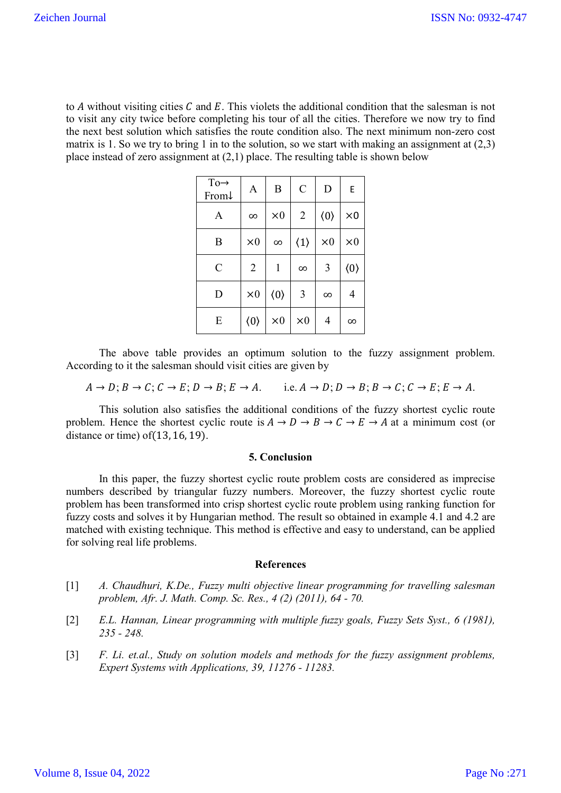to  $A$  without visiting cities  $C$  and  $E$ . This violets the additional condition that the salesman is not to visit any city twice before completing his tour of all the cities. Therefore we now try to find the next best solution which satisfies the route condition also. The next minimum non-zero cost matrix is 1. So we try to bring 1 in to the solution, so we start with making an assignment at  $(2,3)$ place instead of zero assignment at  $(2,1)$  place. The resulting table is shown below

| $\rm{To}\rightarrow$<br>From $\downarrow$ | A                   | B                   | $\mathcal{C}$       | D                   | E                   |
|-------------------------------------------|---------------------|---------------------|---------------------|---------------------|---------------------|
| A                                         | $\infty$            | $\times 0$          | $\sqrt{2}$          | $\langle 0 \rangle$ | $\times 0$          |
| B                                         | $\times 0$          | $\infty$            | $\langle 1 \rangle$ | $\times 0$          | $\times 0$          |
| $\mathcal{C}$                             | $\overline{2}$      | 1                   | $\infty$            | 3                   | $\langle 0 \rangle$ |
| D                                         | $\times 0$          | $\langle 0 \rangle$ | 3                   | $\infty$            | 4                   |
| E                                         | $\langle 0 \rangle$ | $\times 0$          | $\times 0$          | 4                   | $\infty$            |

The above table provides an optimum solution to the fuzzy assignment problem. According to it the salesman should visit cities are given by

 $A \rightarrow D$ ;  $B \rightarrow C$ ;  $C \rightarrow E$ ;  $D \rightarrow B$ ;  $E \rightarrow A$ . i.e.  $A \rightarrow D$ ;  $D \rightarrow B$ ;  $B \rightarrow C$ ;  $C \rightarrow E$ ;  $E \rightarrow A$ .

This solution also satisfies the additional conditions of the fuzzy shortest cyclic route problem. Hence the shortest cyclic route is  $A \to D \to B \to C \to E \to A$  at a minimum cost (or distance or time) of(13, 16, 19).

## **5. Conclusion**

In this paper, the fuzzy shortest cyclic route problem costs are considered as imprecise numbers described by triangular fuzzy numbers. Moreover, the fuzzy shortest cyclic route problem has been transformed into crisp shortest cyclic route problem using ranking function for fuzzy costs and solves it by Hungarian method. The result so obtained in example 4.1 and 4.2 are matched with existing technique. This method is effective and easy to understand, can be applied for solving real life problems.

## **References**

- [1] *A. Chaudhuri, K.De., Fuzzy multi objective linear programming for travelling salesman problem, Afr. J. Math. Comp. Sc. Res., 4 (2) (2011), 64 - 70.*
- [2] *E.L. Hannan, Linear programming with multiple fuzzy goals, Fuzzy Sets Syst., 6 (1981), 235 - 248.*
- [3] *F. Li. et.al., Study on solution models and methods for the fuzzy assignment problems, Expert Systems with Applications, 39, 11276 - 11283.*